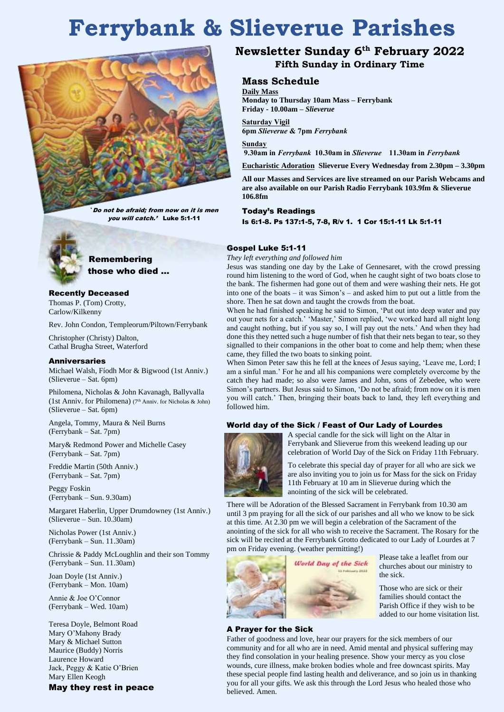# **Ferrybank & Slieverue Parishes**



'Do not be afraid; from now on it is men you will catch.' Luke 5:1-11



 Remembering those who died …

# Recently Deceased

Thomas P. (Tom) Crotty, Carlow/Kilkenny

Rev. John Condon, Templeorum/Piltown/Ferrybank

Christopher (Christy) Dalton, Cathal Brugha Street, Waterford

#### Anniversaries

Michael Walsh, Fíodh Mor & Bigwood (1st Anniv.) (Slieverue – Sat. 6pm)

Philomena, Nicholas & John Kavanagh, Ballyvalla (1st Anniv. for Philomena) (7<sup>th</sup> Anniv. for Nicholas & John) (Slieverue – Sat. 6pm)

Angela, Tommy, Maura & Neil Burns (Ferrybank – Sat. 7pm)

Mary& Redmond Power and Michelle Casey (Ferrybank – Sat. 7pm)

Freddie Martin (50th Anniv.) (Ferrybank – Sat. 7pm)

Peggy Foskin (Ferrybank – Sun. 9.30am)

Margaret Haberlin, Upper Drumdowney (1st Anniv.) (Slieverue – Sun. 10.30am)

Nicholas Power (1st Anniv.) (Ferrybank – Sun. 11.30am)

Chrissie & Paddy McLoughlin and their son Tommy (Ferrybank – Sun. 11.30am)

Joan Doyle (1st Anniv.) (Ferrybank – Mon. 10am)

Annie & Joe O'Connor (Ferrybank – Wed. 10am)

Teresa Doyle, Belmont Road Mary O'Mahony Brady Mary & Michael Sutton Maurice (Buddy) Norris Laurence Howard Jack, Peggy & Katie O'Brien Mary Ellen Keogh

May they rest in peace

# **Newsletter Sunday 6 th February 2022 Fifth Sunday in Ordinary Time**

# **Mass Schedule**

**Daily Mass Monday to Thursday 10am Mass – Ferrybank Friday - 10.00am –** *Slieverue*

**Saturday Vigil**

**6pm** *Slieverue* **& 7pm** *Ferrybank*

**Sunday 9.30am in** *Ferrybank* **10.30am in** *Slieverue* **11.30am in** *Ferrybank*

**Eucharistic Adoration Slieverue Every Wednesday from 2.30pm – 3.30pm**

**All our Masses and Services are live streamed on our Parish Webcams and are also available on our Parish Radio Ferrybank 103.9fm & Slieverue 106.8fm**

Today's Readings

Is 6:1-8. Ps 137:1-5, 7-8, R/v 1. 1 Cor 15:1-11 Lk 5:1-11

#### Gospel Luke 5:1-11

*They left everything and followed him*

Jesus was standing one day by the Lake of Gennesaret, with the crowd pressing round him listening to the word of God, when he caught sight of two boats close to the bank. The fishermen had gone out of them and were washing their nets. He got into one of the boats – it was Simon's – and asked him to put out a little from the shore. Then he sat down and taught the crowds from the boat.

When he had finished speaking he said to Simon, 'Put out into deep water and pay out your nets for a catch.' 'Master,' Simon replied, 'we worked hard all night long and caught nothing, but if you say so, I will pay out the nets.' And when they had done this they netted such a huge number of fish that their nets began to tear, so they signalled to their companions in the other boat to come and help them; when these came, they filled the two boats to sinking point.

When Simon Peter saw this he fell at the knees of Jesus saying, 'Leave me, Lord; I am a sinful man.' For he and all his companions were completely overcome by the catch they had made; so also were James and John, sons of Zebedee, who were Simon's partners. But Jesus said to Simon, 'Do not be afraid; from now on it is men you will catch.' Then, bringing their boats back to land, they left everything and followed him.

#### World day of the Sick / Feast of Our Lady of Lourdes



A special candle for the sick will light on the Altar in Ferrybank and Slieverue from this weekend leading up our celebration of World Day of the Sick on Friday 11th February.

To celebrate this special day of prayer for all who are sick we are also inviting you to join us for Mass for the sick on Friday 11th February at 10 am in Slieverue during which the anointing of the sick will be celebrated.

There will be Adoration of the Blessed Sacrament in Ferrybank from 10.30 am until 3 pm praying for all the sick of our parishes and all who we know to be sick at this time. At 2.30 pm we will begin a celebration of the Sacrament of the anointing of the sick for all who wish to receive the Sacrament. The Rosary for the sick will be recited at the Ferrybank Grotto dedicated to our Lady of Lourdes at 7 pm on Friday evening. (weather permitting!)



#### A Prayer for the Sick

Father of goodness and love, hear our prayers for the sick members of our community and for all who are in need. Amid mental and physical suffering may they find consolation in your healing presence. Show your mercy as you close wounds, cure illness, make broken bodies whole and free downcast spirits. May these special people find lasting health and deliverance, and so join us in thanking you for all your gifts. We ask this through the Lord Jesus who healed those who believed. Amen.



Please take a leaflet from our churches about our ministry to the sick.

Those who are sick or their families should contact the Parish Office if they wish to be added to our home visitation list.